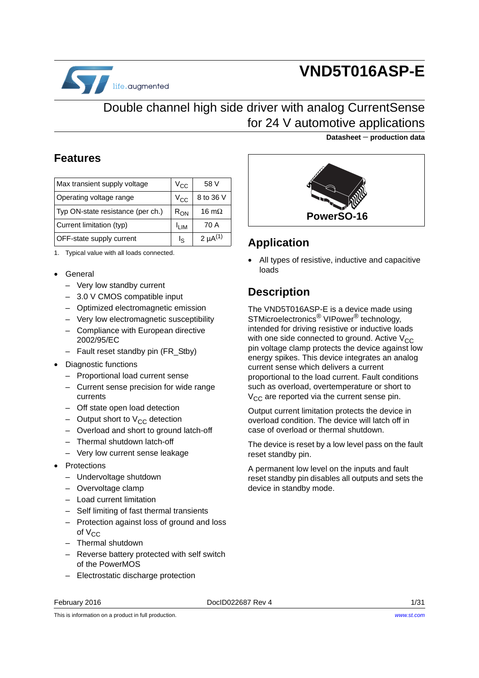

# **VND5T016ASP-E**

**Datasheet** − **production data**

# Double channel high side driver with analog CurrentSense for 24 V automotive applications

#### **Features**

| Max transient supply voltage      | $V_{\rm CC}$               | 58 V            |
|-----------------------------------|----------------------------|-----------------|
| Operating voltage range           | V <sub>CC</sub>            | 8 to 36 V       |
| Typ ON-state resistance (per ch.) | $R_{ON}$                   | 16 m $\Omega$   |
| Current limitation (typ)          | $\mathsf{I}_{\mathsf{IM}}$ | 70 A            |
| <b>OFF-state supply current</b>   | ءا                         | 2 $\mu A^{(1)}$ |

1. Typical value with all loads connected.

- General
	- Very low standby current
	- 3.0 V CMOS compatible input
	- Optimized electromagnetic emission
	- Very low electromagnetic susceptibility
	- Compliance with European directive 2002/95/EC
	- Fault reset standby pin (FR\_Stby)
- Diagnostic functions
	- Proportional load current sense
	- Current sense precision for wide range currents
	- Off state open load detection
	- Output short to  $V_{CC}$  detection
	- Overload and short to ground latch-off
	- Thermal shutdown latch-off
	- Very low current sense leakage
- Protections
	- Undervoltage shutdown
	- Overvoltage clamp
	- Load current limitation
	- Self limiting of fast thermal transients
	- Protection against loss of ground and loss of  $V_{CC}$
	- Thermal shutdown
	- Reverse battery protected with self switch of the PowerMOS
	- Electrostatic discharge protection

**PowerSO-16**

### **Application**

All types of resistive, inductive and capacitive loads

### **Description**

The VND5T016ASP-E is a device made using STMicroelectronics® VIPower® technology, intended for driving resistive or inductive loads with one side connected to ground. Active  $V_{CC}$ pin voltage clamp protects the device against low energy spikes. This device integrates an analog current sense which delivers a current proportional to the load current. Fault conditions such as overload, overtemperature or short to  $V_{CC}$  are reported via the current sense pin.

Output current limitation protects the device in overload condition. The device will latch off in case of overload or thermal shutdown.

The device is reset by a low level pass on the fault reset standby pin.

A permanent low level on the inputs and fault reset standby pin disables all outputs and sets the device in standby mode.

February 2016 **DociD022687 Rev 4 Contract 2016** 1/[31](#page-30-0)

This is information on a product in full production.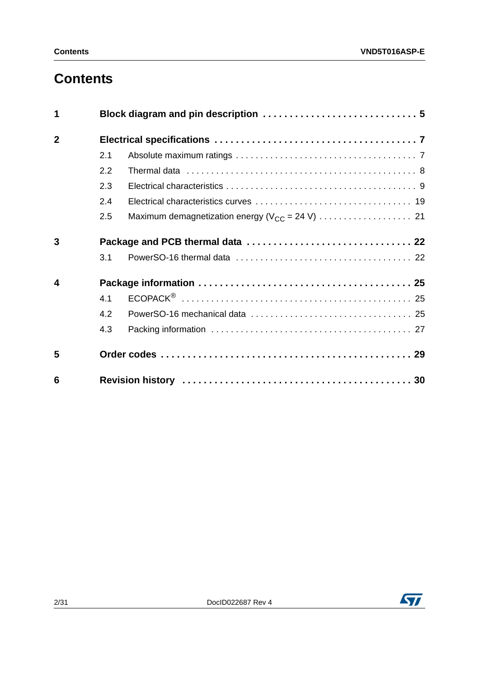# **Contents**

| 1              |     |  |
|----------------|-----|--|
| $\overline{2}$ |     |  |
|                | 2.1 |  |
|                | 2.2 |  |
|                | 2.3 |  |
|                | 2.4 |  |
|                | 2.5 |  |
| 3              |     |  |
|                | 3.1 |  |
| 4              |     |  |
|                | 4.1 |  |
|                | 4.2 |  |
|                | 4.3 |  |
| 5              |     |  |
| 6              |     |  |

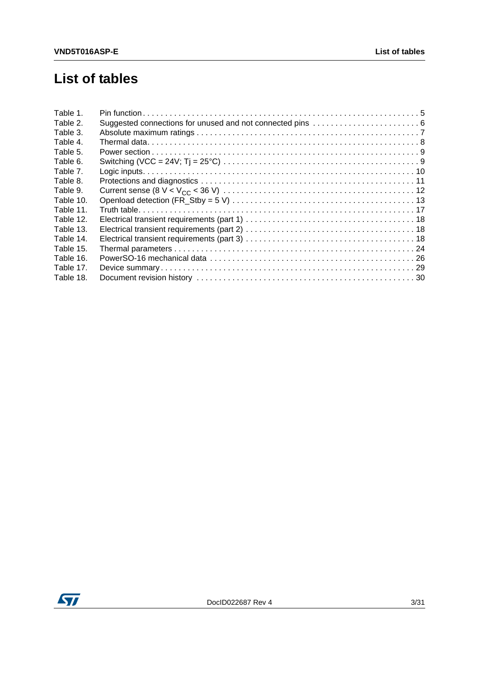# **List of tables**

| Table 1.  |  |
|-----------|--|
| Table 2.  |  |
| Table 3.  |  |
| Table 4.  |  |
| Table 5.  |  |
| Table 6.  |  |
| Table 7.  |  |
| Table 8.  |  |
| Table 9.  |  |
| Table 10. |  |
| Table 11. |  |
| Table 12. |  |
| Table 13. |  |
| Table 14. |  |
| Table 15. |  |
| Table 16. |  |
| Table 17. |  |
| Table 18. |  |

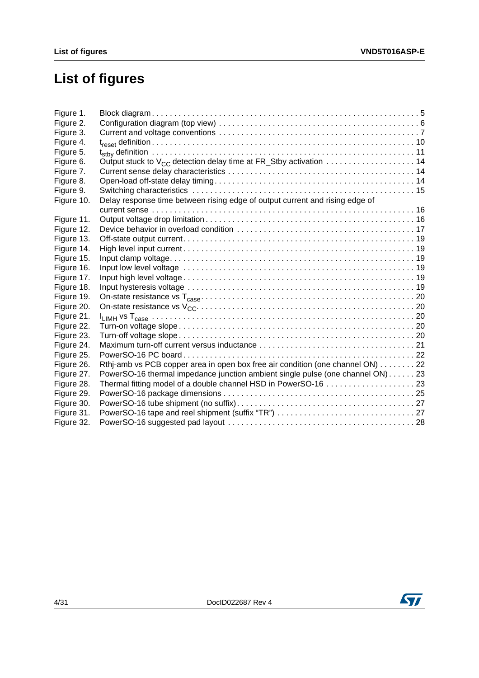# **List of figures**

| Figure 1.  |                                                                                                                 |
|------------|-----------------------------------------------------------------------------------------------------------------|
| Figure 2.  |                                                                                                                 |
| Figure 3.  |                                                                                                                 |
| Figure 4.  |                                                                                                                 |
| Figure 5.  |                                                                                                                 |
| Figure 6.  | Output stuck to $V_{CC}$ detection delay time at FR_Stby activation $\ldots \ldots \ldots \ldots \ldots \ldots$ |
| Figure 7.  |                                                                                                                 |
| Figure 8.  |                                                                                                                 |
| Figure 9.  |                                                                                                                 |
| Figure 10. | Delay response time between rising edge of output current and rising edge of                                    |
|            |                                                                                                                 |
| Figure 11. |                                                                                                                 |
| Figure 12. |                                                                                                                 |
| Figure 13. |                                                                                                                 |
| Figure 14. |                                                                                                                 |
| Figure 15. |                                                                                                                 |
| Figure 16. |                                                                                                                 |
| Figure 17. |                                                                                                                 |
| Figure 18. |                                                                                                                 |
| Figure 19. |                                                                                                                 |
| Figure 20. |                                                                                                                 |
| Figure 21. |                                                                                                                 |
| Figure 22. |                                                                                                                 |
| Figure 23. |                                                                                                                 |
| Figure 24. |                                                                                                                 |
| Figure 25. |                                                                                                                 |
| Figure 26. | Rthj-amb vs PCB copper area in open box free air condition (one channel ON) 22                                  |
| Figure 27. | PowerSO-16 thermal impedance junction ambient single pulse (one channel ON) 23                                  |
| Figure 28. |                                                                                                                 |
| Figure 29. |                                                                                                                 |
| Figure 30. |                                                                                                                 |
| Figure 31. |                                                                                                                 |
| Figure 32. |                                                                                                                 |

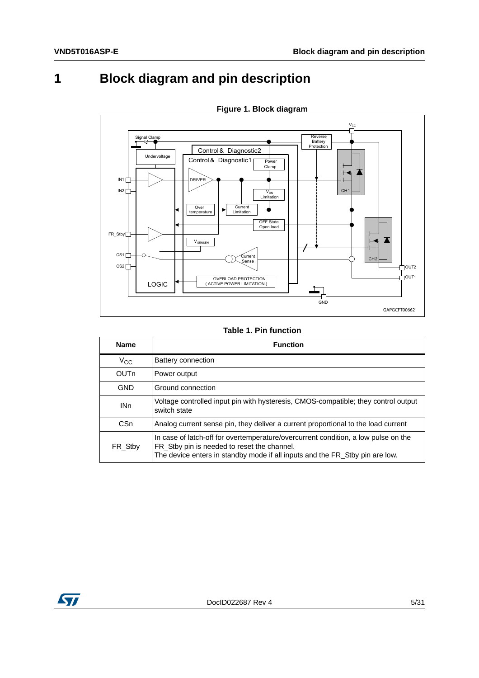# <span id="page-4-0"></span>**1 Block diagram and pin description**

<span id="page-4-2"></span>

**Figure 1. Block diagram**

#### **Table 1. Pin function**

<span id="page-4-1"></span>

| <b>Name</b>     | <b>Function</b>                                                                                                                                                                                                   |
|-----------------|-------------------------------------------------------------------------------------------------------------------------------------------------------------------------------------------------------------------|
| $V_{\rm CC}$    | Battery connection                                                                                                                                                                                                |
| <b>OUTn</b>     | Power output                                                                                                                                                                                                      |
| <b>GND</b>      | Ground connection                                                                                                                                                                                                 |
| IN <sub>n</sub> | Voltage controlled input pin with hysteresis, CMOS-compatible; they control output<br>switch state                                                                                                                |
| C <sub>Sn</sub> | Analog current sense pin, they deliver a current proportional to the load current                                                                                                                                 |
| FR Stby         | In case of latch-off for overtemperature/overcurrent condition, a low pulse on the<br>FR Stby pin is needed to reset the channel.<br>The device enters in standby mode if all inputs and the FR_Stby pin are low. |

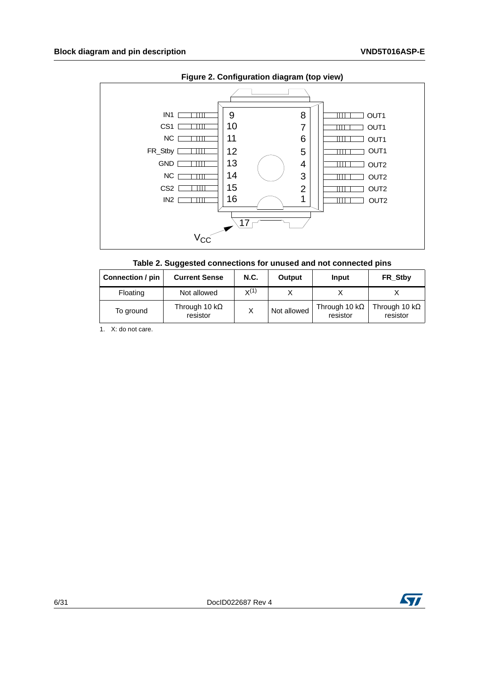<span id="page-5-1"></span>

<span id="page-5-0"></span>

|  |  | Table 2. Suggested connections for unused and not connected pins |
|--|--|------------------------------------------------------------------|
|--|--|------------------------------------------------------------------|

| Connection / pin | <b>Current Sense</b>             | N.C.      | Output      | Input                             | FR Stby                           |
|------------------|----------------------------------|-----------|-------------|-----------------------------------|-----------------------------------|
| Floating         | Not allowed                      | $X^{(1)}$ |             |                                   |                                   |
| To ground        | Through 10 $k\Omega$<br>resistor |           | Not allowed | Through 10 k $\Omega$<br>resistor | Through 10 k $\Omega$<br>resistor |

1. X: do not care.

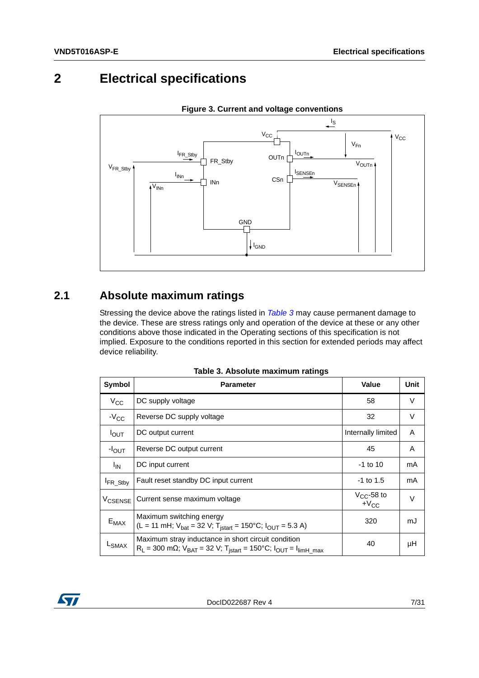# <span id="page-6-0"></span>**2 Electrical specifications**

<span id="page-6-3"></span>

**Figure 3. Current and voltage conventions**

# <span id="page-6-1"></span>**2.1 Absolute maximum ratings**

Stressing the device above the ratings listed in *[Table 3](#page-6-2)* may cause permanent damage to the device. These are stress ratings only and operation of the device at these or any other conditions above those indicated in the Operating sections of this specification is not implied. Exposure to the conditions reported in this section for extended periods may affect device reliability.

<span id="page-6-2"></span>

| Symbol               | <b>Parameter</b>                                                                                                                                                      | <b>Value</b>                 | Unit |
|----------------------|-----------------------------------------------------------------------------------------------------------------------------------------------------------------------|------------------------------|------|
| $V_{\rm CC}$         | DC supply voltage                                                                                                                                                     | 58                           | V    |
| $-V_{CC}$            | Reverse DC supply voltage                                                                                                                                             | 32                           | V    |
| $I_{\text{OUT}}$     | DC output current                                                                                                                                                     | Internally limited           | A    |
| $-IOUT$              | Reverse DC output current                                                                                                                                             | 45                           | A    |
| $I_{IN}$             | DC input current                                                                                                                                                      | $-1$ to 10                   | mA   |
| <sup>I</sup> FR_Stby | Fault reset standby DC input current                                                                                                                                  | $-1$ to 1.5                  | mA   |
| V <sub>CSENSE</sub>  | Current sense maximum voltage                                                                                                                                         | $V_{CC}$ -58 to<br>$+V_{CC}$ | V    |
| $E_{MAX}$            | Maximum switching energy<br>(L = 11 mH; $V_{bat}$ = 32 V; T <sub>istart</sub> = 150°C; $I_{OUT}$ = 5.3 A)                                                             | 320                          | mJ   |
| L <sub>SMAX</sub>    | Maximum stray inductance in short circuit condition<br>$R_L$ = 300 mΩ; V <sub>BAT</sub> = 32 V; T <sub>istart</sub> = 150°C; I <sub>OUT</sub> = I <sub>limH_max</sub> | 40                           | μH   |

|  |  | Table 3. Absolute maximum ratings |  |
|--|--|-----------------------------------|--|
|--|--|-----------------------------------|--|

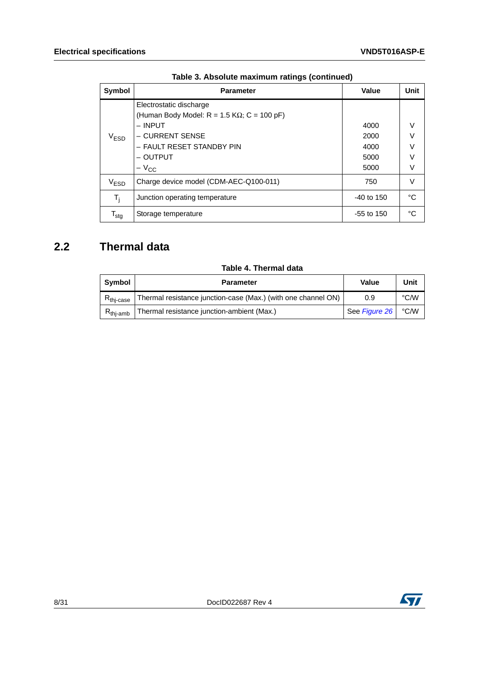| <b>Symbol</b>               | <b>Parameter</b>                                                                 | <b>Value</b> | Unit   |
|-----------------------------|----------------------------------------------------------------------------------|--------------|--------|
|                             | Electrostatic discharge<br>(Human Body Model: $R = 1.5$ K $\Omega$ ; C = 100 pF) |              |        |
|                             | $-$ INPUT                                                                        | 4000         | V      |
| $V_{ESD}$                   | – CURRENT SENSE                                                                  | 2000         | V      |
|                             | - FAULT RESET STANDBY PIN                                                        | 4000         | $\vee$ |
|                             | - OUTPUT                                                                         | 5000         | V      |
|                             | $-V_{\rm CC}$                                                                    | 5000         | V      |
| V <sub>ESD</sub>            | Charge device model (CDM-AEC-Q100-011)                                           | 750          | V      |
| $T_i$                       | Junction operating temperature                                                   | $-40$ to 150 | °C     |
| $\mathsf{T}_{\mathsf{stg}}$ | Storage temperature                                                              | $-55$ to 150 | °C     |

### <span id="page-7-0"></span>**2.2 Thermal data**

#### **Table 4. Thermal data**

<span id="page-7-1"></span>

| Symbol                         | <b>Parameter</b>                                              | Value         | Unit |
|--------------------------------|---------------------------------------------------------------|---------------|------|
| $R_{\mathsf{thi}\text{-case}}$ | Thermal resistance junction-case (Max.) (with one channel ON) | 0.9           | °C/W |
| $R_{\mathsf{thi-amb}}$         | Thermal resistance junction-ambient (Max.)                    | See Figure 26 | °C∕W |

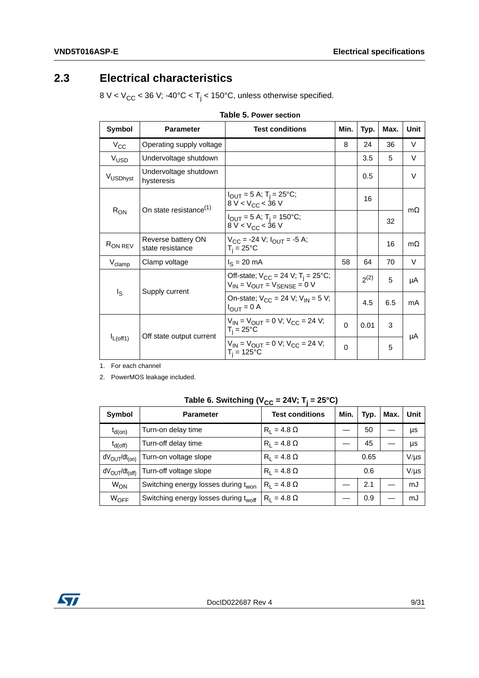### <span id="page-8-0"></span>**2.3 Electrical characteristics**

8 V < V<sub>CC</sub> < 36 V; -40°C < T<sub>j</sub> < 150°C, unless otherwise specified.

<span id="page-8-1"></span>

| Symbol              | <b>Parameter</b>                       | <b>Test conditions</b>                                                                         |          | Typ.      | Max. | <b>Unit</b> |
|---------------------|----------------------------------------|------------------------------------------------------------------------------------------------|----------|-----------|------|-------------|
| $V_{\rm CC}$        | Operating supply voltage               |                                                                                                | 8        | 24        | 36   | V           |
| V <sub>USD</sub>    | Undervoltage shutdown                  |                                                                                                |          | 3.5       | 5    | V           |
| VUSDhyst            | Undervoltage shutdown<br>hysteresis    |                                                                                                |          | 0.5       |      | V           |
| $R_{ON}$            | On state resistance <sup>(1)</sup>     | $I_{\text{OUT}} = 5 \text{ A}; T_{\text{i}} = 25^{\circ} \text{C};$<br>8 V < $V_{CC}$ < 36 V   |          | 16        |      | $m\Omega$   |
|                     |                                        | $I_{\text{OUT}} = 5 \text{ A}; T_{\text{i}} = 150^{\circ}\text{C};$<br>$8 V < V_{CC} < 36 V$   |          |           | 32   |             |
| R <sub>ON REV</sub> | Reverse battery ON<br>state resistance | $V_{CC}$ = -24 V; $I_{OUT}$ = -5 A;<br>$T_i = 25^{\circ}C$                                     |          |           | 16   | $m\Omega$   |
| $V_{\text{clamp}}$  | Clamp voltage                          | $I_S = 20$ mA                                                                                  | 58       | 64        | 70   | V           |
| Is                  | Supply current                         | Off-state; $V_{CC}$ = 24 V; T <sub>i</sub> = 25°C;<br>$V_{IN}$ = $V_{OUT}$ = $V_{SENSE}$ = 0 V |          | $2^{(2)}$ | 5    | μA          |
|                     |                                        | On-state; $V_{CC}$ = 24 V; $V_{IN}$ = 5 V;<br>$I_{OUT} = 0 A$                                  |          | 4.5       | 6.5  | mA          |
| $I_{L(off1)}$       |                                        | $V_{IN} = V_{OUIT} = 0$ V; $V_{CC} = 24$ V;<br>$T_i = 25^{\circ}C$                             | $\Omega$ | 0.01      | 3    |             |
|                     | Off state output current               | $V_{IN} = V_{OUIT} = 0 V$ ; $V_{CC} = 24 V$ ;<br>$T_i = 125$ °C                                | 0        |           | 5    | μA          |

|--|

1. For each channel

2. PowerMOS leakage included.

Table 6. Switching ( $V_{CC}$  = 24V; T<sub>j</sub> = 25°C)

<span id="page-8-2"></span>

| Symbol                | <b>Parameter</b>                                 | <b>Test conditions</b> | Min. | Typ. | Max. | Unit      |
|-----------------------|--------------------------------------------------|------------------------|------|------|------|-----------|
| $t_{d(on)}$           | Turn-on delay time                               | $R_1 = 4.8 \Omega$     |      | 50   |      | μs        |
| $t_{d(off)}$          | Turn-off delay time                              | $R_1 = 4.8 \Omega$     |      | 45   |      | μs        |
| $dV_{OUT}/dt_{(on)}$  | Turn-on voltage slope                            | $R_1 = 4.8 \Omega$     |      | 0.65 |      | $V/\mu s$ |
| $dV_{OUT}/dt_{(off)}$ | Turn-off voltage slope                           | $R_1 = 4.8 \Omega$     |      | 0.6  |      | $V/\mu s$ |
| <b>W<sub>ON</sub></b> | Switching energy losses during t <sub>won</sub>  | $R_1 = 4.8 \Omega$     |      | 2.1  |      | mJ        |
| WOFF                  | Switching energy losses during t <sub>woff</sub> | $R_1 = 4.8 \Omega$     |      | 0.9  |      | mJ        |

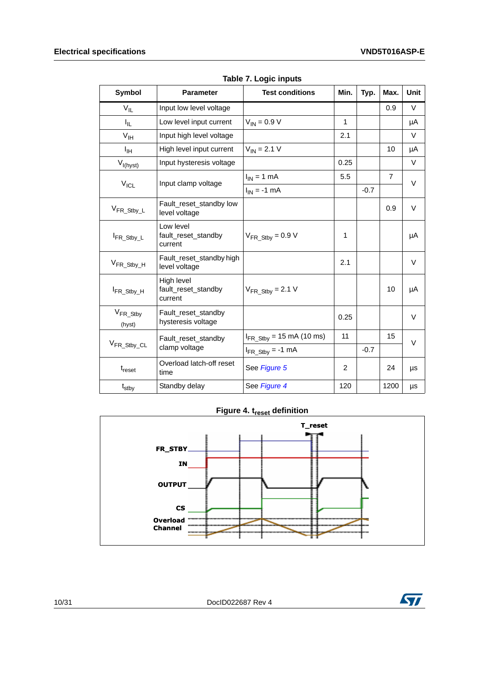<span id="page-9-0"></span>

| Symbol                   | <b>Parameter</b>                             | <b>Test conditions</b>               | Min. | Typ.   | Max.           | <b>Unit</b> |
|--------------------------|----------------------------------------------|--------------------------------------|------|--------|----------------|-------------|
| $V_{IL}$                 | Input low level voltage                      |                                      |      |        | 0.9            | V           |
| $I_{\rm IL}$             | Low level input current                      | $V_{IN} = 0.9 V$                     | 1    |        |                | μA          |
| $V_{\text{IH}}$          | Input high level voltage                     |                                      | 2.1  |        |                | $\vee$      |
| ŀщ                       | High level input current                     | $V_{IN} = 2.1 V$                     |      |        | 10             | μA          |
| $V_{I(hyst)}$            | Input hysteresis voltage                     |                                      | 0.25 |        |                | $\vee$      |
|                          | Input clamp voltage                          | $I_{IN}$ = 1 mA                      | 5.5  |        | $\overline{7}$ | $\vee$      |
| $V_{\text{ICL}}$         |                                              | $I_{IN} = -1$ mA                     |      | $-0.7$ |                |             |
| $V_{FR\_Stby\_L}$        | Fault_reset_standby low<br>level voltage     |                                      |      |        | 0.9            | $\vee$      |
| FR_Stby_L                | Low level<br>fault_reset_standby<br>current  | $V_{FR\_Stby} = 0.9 V$               | 1    |        |                | μA          |
| V <sub>FR_Stby_H</sub>   | Fault_reset_standby high<br>level voltage    |                                      | 2.1  |        |                | V           |
| IFR_Stby_H               | High level<br>fault_reset_standby<br>current | $V_{FR\_Stby} = 2.1 V$               |      |        | 10             | μA          |
| $V_{FR\_Stby}$<br>(hyst) | Fault_reset_standby<br>hysteresis voltage    |                                      | 0.25 |        |                | $\vee$      |
| V <sub>FR_Stby_CL</sub>  | Fault_reset_standby                          | $I_{FR\_Stby}$ = 15 mA (10 ms)       | 11   |        | 15             | V           |
|                          | clamp voltage                                | $I_{FR \text{Stby}} = -1 \text{ mA}$ |      | $-0.7$ |                |             |
| t <sub>reset</sub>       | Overload latch-off reset<br>time             | See Figure 5                         | 2    |        | 24             | μs          |
| $t_{\text{stby}}$        | Standby delay                                | See Figure 4                         | 120  |        | 1200           | μs          |

**Table 7. Logic inputs**

### **Figure 4. t<sub>reset</sub> definition**

<span id="page-9-1"></span>



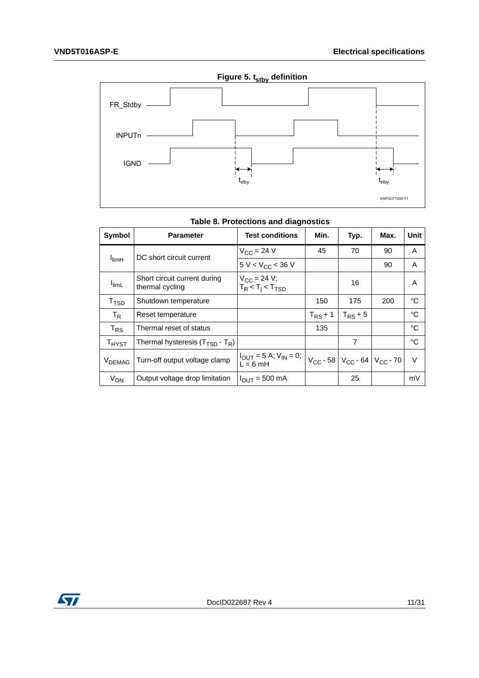<span id="page-10-1"></span>

<span id="page-10-0"></span>

| Symbol             | <b>Parameter</b>                                | <b>Test conditions</b>                                           | Min.         | Typ.                                                           | Max. | Unit   |
|--------------------|-------------------------------------------------|------------------------------------------------------------------|--------------|----------------------------------------------------------------|------|--------|
|                    | DC short circuit current                        | $V_{CC}$ = 24 V                                                  | 45           | 70                                                             | 90   | A      |
| $I_{\text{limH}}$  |                                                 | $5 V < V_{CC} < 36 V$                                            |              |                                                                | 90   | A      |
| <b>I</b> limL      | Short circuit current during<br>thermal cycling | $V_{CC}$ = 24 V;<br>$T_R < T_i < T_{TSD}$                        |              | 16                                                             |      | A      |
| T <sub>TSD</sub>   | Shutdown temperature                            |                                                                  | 150          | 175                                                            | 200  | °C     |
| $T_{\sf R}$        | Reset temperature                               |                                                                  | $T_{RS}$ + 1 | $T_{RS}$ + 5                                                   |      | °C     |
| $T_{RS}$           | Thermal reset of status                         |                                                                  | 135          |                                                                |      | °C     |
| T <sub>HYST</sub>  | Thermal hysteresis $(T_{\text{TSD}} - T_R)$     |                                                                  |              | $\overline{7}$                                                 |      | °C     |
| V <sub>DEMAG</sub> | Turn-off output voltage clamp                   | $I_{\text{OUT}} = 5 \text{ A}; V_{\text{IN}} = 0;$<br>$L = 6$ mH |              | $V_{\text{CC}}$ - 58 $V_{\text{CC}}$ - 64 $V_{\text{CC}}$ - 70 |      | $\vee$ |
| $V_{ON}$           | Output voltage drop limitation                  | $I_{OUT} = 500$ mA                                               |              | 25                                                             |      | mV     |

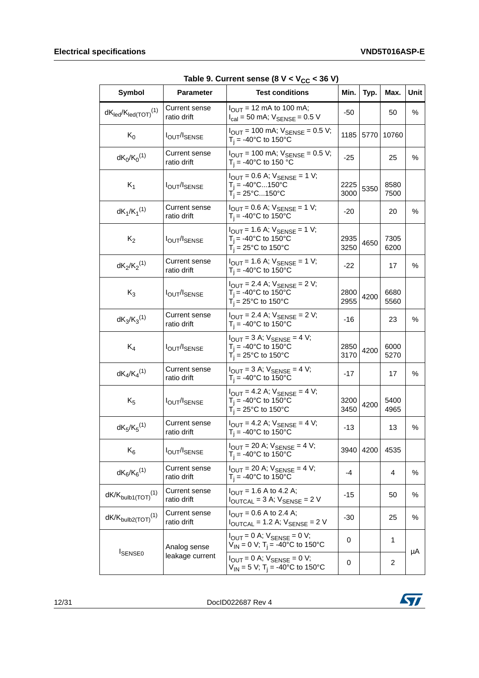<span id="page-11-0"></span>

| <b>Symbol</b>                          | <b>Parameter</b>                    | <b>Test conditions</b>                                                                                                            | Min.         | Typ.      | Max.         | Unit |
|----------------------------------------|-------------------------------------|-----------------------------------------------------------------------------------------------------------------------------------|--------------|-----------|--------------|------|
| $dK_{led}/K_{led(TOT)}$ <sup>(1)</sup> | <b>Current sense</b><br>ratio drift | $I_{\text{OUT}}$ = 12 mA to 100 mA;<br>$I_{\text{cal}} = 50 \text{ mA}$ ; $V_{\text{SENSE}} = 0.5 \text{ V}$                      | -50          |           | 50           | ℅    |
| $K_0$                                  | <b>IOUT/ISENSE</b>                  | $I_{\text{OUT}}$ = 100 mA; $V_{\text{SENSE}}$ = 0.5 V;<br>$T_i = -40$ °C to 150°C                                                 |              | 1185 5770 | 10760        |      |
| $dK_0/K_0^{(1)}$                       | Current sense<br>ratio drift        | $I_{\text{OUT}}$ = 100 mA; $V_{\text{SENSE}}$ = 0.5 V;<br>$T_i = -40$ °C to 150 °C                                                | $-25$        |           | 25           | %    |
| $K_1$                                  | <b>IOUT/ISENSE</b>                  | $I_{\text{OUT}} = 0.6$ A; $V_{\text{SENSE}} = 1$ V;<br>$T_i = -40^{\circ}C150^{\circ}C$<br>$T_i = 25^{\circ}$ C150°C              | 2225<br>3000 | 5350      | 8580<br>7500 |      |
| $dK_1/K_1^{(1)}$                       | Current sense<br>ratio drift        | $I_{\text{OUT}} = 0.6$ A; $V_{\text{SENSE}} = 1$ V;<br>$T_i = -40$ °C to 150°C                                                    | -20          |           | 20           | $\%$ |
| $K_2$                                  | <b>lout/ISENSE</b>                  | $I_{OUT} = 1.6$ A; $V_{SENSE} = 1$ V;<br>$T_i = -40$ °C to 150°C<br>$T_i = 25^{\circ}$ C to 150°C                                 | 2935<br>3250 | 4650      | 7305<br>6200 |      |
| $dK_2/K_2^{(1)}$                       | <b>Current sense</b><br>ratio drift | $I_{OUT} = 1.6$ A; $V_{SENSE} = 1$ V;<br>$T_i = -40$ °C to 150°C                                                                  | -22          |           | 17           | $\%$ |
| $K_3$                                  | <b>IOUT/ISENSE</b>                  | $I_{\text{OUT}} = 2.4 \text{ A}$ ; $V_{\text{SENSE}} = 2 \text{ V}$ ;<br>$T_i = -40$ °C to 150°C<br>$T_i = 25^{\circ}$ C to 150°C | 2800<br>2955 | 4200      | 6680<br>5560 |      |
| $dK_3/K_3^{(1)}$                       | Current sense<br>ratio drift        | $I_{\text{OUT}} = 2.4$ A; $V_{\text{SENSE}} = 2$ V;<br>$T_i = -40$ °C to 150°C                                                    | $-16$        |           | 23           | $\%$ |
| $K_4$                                  | <b>IOUT/ISENSE</b>                  | $I_{\text{OUT}} = 3$ A; $V_{\text{SENSE}} = 4$ V;<br>$T_i = -40$ °C to 150°C<br>$T_i = 25^{\circ}$ C to 150°C                     | 2850<br>3170 | 4200      | 6000<br>5270 |      |
| $dK_4/K_4^{(1)}$                       | Current sense<br>ratio drift        | $I_{\text{OUT}} = 3$ A; $V_{\text{SENSE}} = 4$ V;<br>$T_i = -40$ °C to 150°C                                                      | $-17$        |           | 17           | ℅    |
| $K_5$                                  | <b>IOUT/ISENSE</b>                  | $I_{\text{OUT}} = 4.2$ A; $V_{\text{SENSE}} = 4$ V;<br>$T_i = -40$ °C to 150°C<br>$T_i = 25^{\circ}$ C to 150°C                   | 3200<br>3450 | 4200      | 5400<br>4965 |      |
| $dK_5/K_5^{(1)}$                       | Current sense<br>ratio drift        | $I_{\text{OUT}} = 4.2$ A; $V_{\text{SENSE}} = 4$ V;<br>$T_i = -40$ °C to 150°C                                                    | $-13$        |           | 13           | %    |
| $K_6$                                  | <b>IOUT/ISENSE</b>                  | $I_{\text{OUT}}$ = 20 A; $V_{\text{SENSE}}$ = 4 V;<br>$T_i = -40$ °C to 150°C                                                     |              | 3940 4200 | 4535         |      |
| $dK_6/K_6^{(1)}$                       | <b>Current sense</b><br>ratio drift | $I_{\text{OUT}} = 20 \text{ A}$ ; $V_{\text{SENSE}} = 4 \text{ V}$ ;<br>$T_i = -40$ °C to 150°C                                   | -4           |           | 4            | $\%$ |
| $dK/K_{bulb1(TOT)}^{(1)}$              | <b>Current sense</b><br>ratio drift | $I_{\text{OUT}}$ = 1.6 A to 4.2 A;<br>$I_{\text{OUTCAL}} = 3$ A; $V_{\text{SENSE}} = 2$ V                                         | $-15$        |           | 50           | %    |
| $dK/K_{bulb2(TOT)}$ <sup>(1)</sup>     | Current sense<br>ratio drift        | $I_{OUT} = 0.6$ A to 2.4 A;<br>$I_{\text{OUTCAL}}$ = 1.2 A; $V_{\text{SENSE}}$ = 2 V                                              | $-30$        |           | 25           | %    |
|                                        | Analog sense                        | $I_{\text{OUT}} = 0$ A; $V_{\text{SENSE}} = 0$ V;<br>$V_{IN} = 0 V$ ; T <sub>i</sub> = -40°C to 150°C                             | 0            |           | 1            |      |
| <b>ISENSE0</b>                         | leakage current                     | $I_{OUT} = 0$ A; $V_{SENSE} = 0$ V;<br>$V_{1N} = 5 V$ ; T <sub>i</sub> = -40°C to 150°C                                           | 0            |           | 2            | μA   |

Table 9. Current sense  $(8 V < V_{CC} < 36 V)$ 

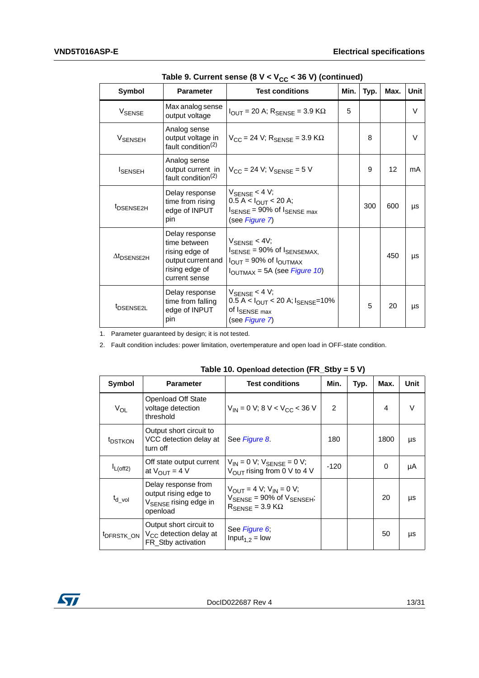| rapic 3. Ourient sense to $\mathbf{v} \times \mathbf{v}_{\text{CC}}$ , so $\mathbf{v}_{\text{C}}$ tornumacal |                                                                                                           |                                                                                                                                                                         |   |      |      |        |
|--------------------------------------------------------------------------------------------------------------|-----------------------------------------------------------------------------------------------------------|-------------------------------------------------------------------------------------------------------------------------------------------------------------------------|---|------|------|--------|
| <b>Symbol</b>                                                                                                | <b>Parameter</b>                                                                                          | Min.<br><b>Test conditions</b>                                                                                                                                          |   | Typ. | Max. | Unit   |
| V <sub>SENSE</sub>                                                                                           | Max analog sense<br>output voltage                                                                        | $I_{\text{OUT}}$ = 20 A; $R_{\text{SENSE}}$ = 3.9 K $\Omega$                                                                                                            | 5 |      |      | $\vee$ |
| VSENSEH                                                                                                      | Analog sense<br>output voltage in<br>fault condition <sup>(2)</sup>                                       | $V_{CC}$ = 24 V; $R_{SENSE}$ = 3.9 K $\Omega$                                                                                                                           |   | 8    |      | $\vee$ |
| <b>I</b> SENSEH                                                                                              | Analog sense<br>output current in<br>fault condition <sup>(2)</sup>                                       | $V_{CC}$ = 24 V; $V_{SENSE}$ = 5 V                                                                                                                                      |   | 9    | 12   | mA     |
| <sup>t</sup> DSENSE2H                                                                                        | Delay response<br>time from rising<br>edge of INPUT<br>pin                                                | $V_{\text{SENSE}}$ < 4 V;<br>0.5 A < I <sub>OUT</sub> < 20 A;<br>$I_{\text{SENSE}}$ = 90% of $I_{\text{SENSE max}}$<br>(see Figure 7)                                   |   | 300  | 600  | μs     |
| $\Delta t$ <sub>DSENSE2H</sub>                                                                               | Delay response<br>time between<br>rising edge of<br>output current and<br>rising edge of<br>current sense | $V_{\rm SENSE}$ < 4V;<br>$I_{\text{SENSE}}$ = 90% of $I_{\text{SENSEMAX}}$<br>$I_{\text{OUT}}$ = 90% of $I_{\text{OUTMAX}}$<br>$I_{\text{OUTMAX}} = 5A$ (see Figure 10) |   |      | 450  | μs     |
| t <sub>DSENSE2L</sub>                                                                                        | Delay response<br>time from falling<br>edge of INPUT<br>pin                                               | $V_{\text{SFNSF}}$ < 4 V;<br>0.5 A < I <sub>OUT</sub> < 20 A; I <sub>SENSE</sub> =10%<br>of I <sub>SENSE max</sub><br>(see Figure 7)                                    |   | 5    | 20   | μs     |

Table 9. Current sense (8 V < V<sub>CC</sub> < 36 V) (continued)

1. Parameter guaranteed by design; it is not tested.

2. Fault condition includes: power limitation, overtemperature and open load in OFF-state condition.

<span id="page-12-0"></span>

| Symbol                 | <b>Parameter</b>                                                                              | <b>Test conditions</b>                                                                                                                                  | Min.          | Typ. | Max. | Unit   |
|------------------------|-----------------------------------------------------------------------------------------------|---------------------------------------------------------------------------------------------------------------------------------------------------------|---------------|------|------|--------|
| $V_{OL}$               | Openload Off State<br>voltage detection<br>threshold                                          | $V_{IN}$ = 0 V; 8 V < V <sub>CC</sub> < 36 V                                                                                                            | $\mathcal{P}$ |      | 4    | $\vee$ |
| <sup>t</sup> DSTKON    | Output short circuit to<br>VCC detection delay at<br>turn off                                 | See Figure 8.                                                                                                                                           | 180           |      | 1800 | μs     |
| $I_{L(off2)}$          | Off state output current<br>at $V_{OUIT} = 4 V$                                               | $V_{IN} = 0 V$ ; $V_{SENSE} = 0 V$ ;<br>$V_{\text{OUT}}$ rising from 0 V to 4 V                                                                         | $-120$        |      | 0    | μA     |
| $t_{d\_vol}$           | Delay response from<br>output rising edge to<br>V <sub>SENSE</sub> rising edge in<br>openload | $V_{\text{OUT}} = 4 V$ ; $V_{\text{IN}} = 0 V$ ;<br>$V_{\text{SENSE}} = 90\% \text{ of } V_{\text{SENSEH}}$<br>$R_{\text{SENSE}} = 3.9 \text{ K}\Omega$ |               |      | 20   | μs     |
| <sup>t</sup> DFRSTK_ON | Output short circuit to<br>$V_{CC}$ detection delay at<br>FR Stby activation                  | See Figure 6;<br>Input <sub>1.2</sub> = low                                                                                                             |               |      | 50   | μs     |

**Table 10. Openload detection (FR\_Stby = 5 V)**

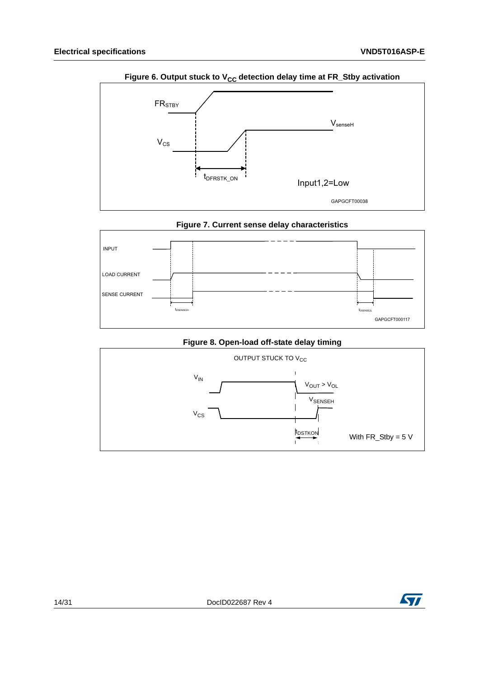<span id="page-13-0"></span>

Figure 6. Output stuck to V<sub>CC</sub> detection delay time at FR\_Stby activation

<span id="page-13-1"></span>

**Figure 8. Open-load off-state delay timing**

<span id="page-13-2"></span>

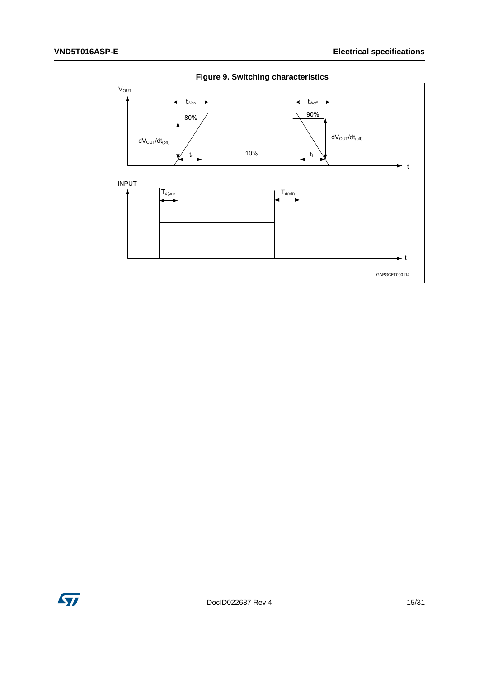<span id="page-14-0"></span>

**Figure 9. Switching characteristics**

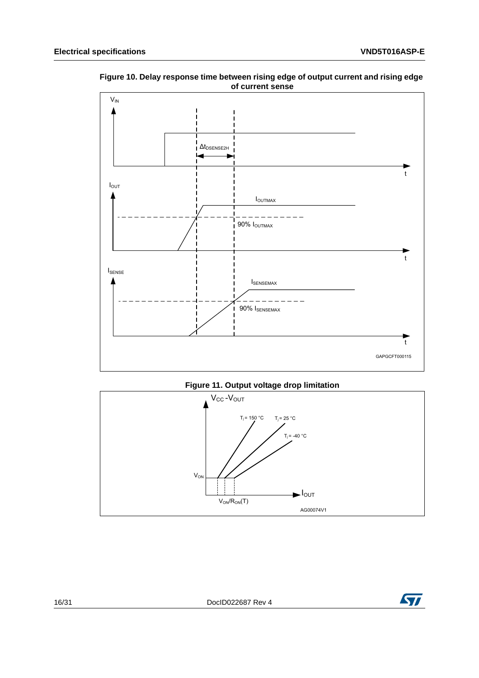

<span id="page-15-0"></span>**Figure 10. Delay response time between rising edge of output current and rising edge of current sense**



<span id="page-15-1"></span>

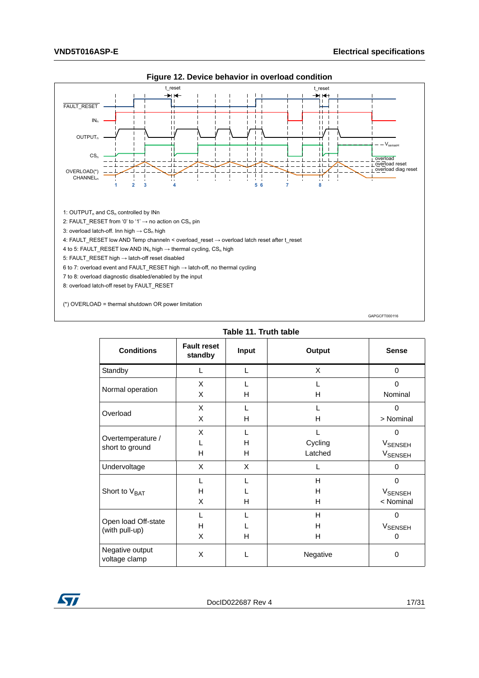<span id="page-16-1"></span>

|  |  |  |  |  | Figure 12. Device behavior in overload condition |
|--|--|--|--|--|--------------------------------------------------|
|--|--|--|--|--|--------------------------------------------------|

<span id="page-16-0"></span>**Table 11. Truth table Conditions Fault reset standby Input Output Sense** Standby L L X 0 Normal operation X X L H L H 0 Nominal Overload <sup>X</sup> X L H L H  $\Omega$ > Nominal Overtemperature / short to ground X L H L H H L Cycling Latched  $\Omega$ **V**SENSEH **V<sub>SENSEH</sub>** Undervoltage  $X \times X$  L D Short to V<sub>BAT</sub> L H X L L H H H H 0 **V**SENSEH < Nominal Open load Off-state (with pull-up) L H X L L H H H H  $\overline{0}$ **V<sub>SENSEH</sub>** 0 Negative output Negative output  $X = \begin{vmatrix} 1 & 0 & 0 \\ 0 & 1 & 0 \\ 0 & 0 & 0 \end{vmatrix}$   $Y = \begin{vmatrix} 1 & 0 & 0 \\ 0 & 1 & 0 \\ 0 & 0 & 0 \end{vmatrix}$ 

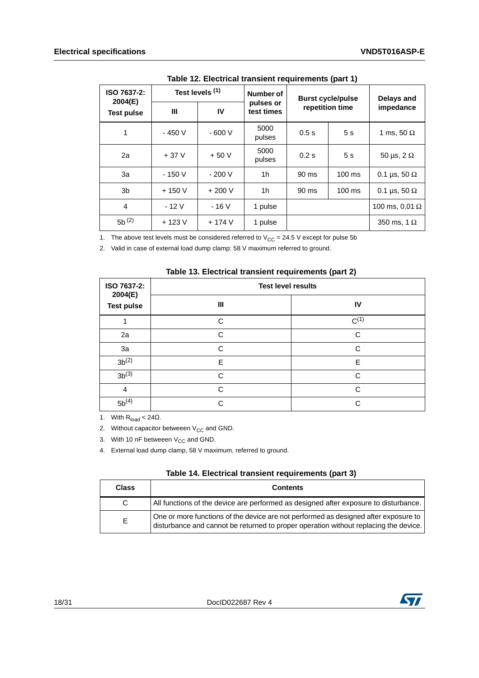<span id="page-17-0"></span>

| $\frac{1}{2}$ = $\frac{1}{2}$ = $\frac{1}{2}$ = $\frac{1}{2}$ = $\frac{1}{2}$ = $\frac{1}{2}$ = $\frac{1}{2}$ = $\frac{1}{2}$ = $\frac{1}{2}$ = $\frac{1}{2}$ = $\frac{1}{2}$ = $\frac{1}{2}$ = $\frac{1}{2}$ = $\frac{1}{2}$ |                 |         |                         |                 |                          |                       |  |           |
|-------------------------------------------------------------------------------------------------------------------------------------------------------------------------------------------------------------------------------|-----------------|---------|-------------------------|-----------------|--------------------------|-----------------------|--|-----------|
| ISO 7637-2:<br>2004(E)                                                                                                                                                                                                        | Test levels (1) |         | Number of               |                 | <b>Burst cycle/pulse</b> | <b>Delays and</b>     |  |           |
| <b>Test pulse</b>                                                                                                                                                                                                             | Ш               | IV      | pulses or<br>test times | repetition time |                          |                       |  | impedance |
| 1                                                                                                                                                                                                                             | $-450V$         | $-600V$ | 5000<br>pulses          | 0.5s            | 5 <sub>s</sub>           | 1 ms, 50 $\Omega$     |  |           |
| 2a                                                                                                                                                                                                                            | $+37V$          | $+50V$  | 5000<br>pulses          | 0.2s            | 5s                       | 50 µs, $2 \Omega$     |  |           |
| За                                                                                                                                                                                                                            | $-150V$         | $-200V$ | 1h                      | 90 ms           | $100$ ms                 | 0.1 µs, 50 $\Omega$   |  |           |
| 3b                                                                                                                                                                                                                            | $+150V$         | $+200V$ | 1h                      | 90 ms           | $100 \text{ ms}$         | 0.1 µs, 50 $\Omega$   |  |           |
| 4                                                                                                                                                                                                                             | $-12V$          | $-16V$  | 1 pulse                 |                 |                          | 100 ms, 0.01 $\Omega$ |  |           |
| $5b^{(2)}$                                                                                                                                                                                                                    | $+123V$         | $+174V$ | 1 pulse                 |                 |                          | 350 ms, 1 $\Omega$    |  |           |

**Table 12. Electrical transient requirements (part 1)**

1. The above test levels must be considered referred to  $V_{CC} = 24.5$  V except for pulse 5b

2. Valid in case of external load dump clamp: 58 V maximum referred to ground.

|  |  |  | Table 13. Electrical transient requirements (part 2) |  |
|--|--|--|------------------------------------------------------|--|
|--|--|--|------------------------------------------------------|--|

<span id="page-17-1"></span>

| ISO 7637-2:<br>2004(E)<br><b>Test pulse</b> | <b>Test level results</b> |           |
|---------------------------------------------|---------------------------|-----------|
|                                             | Ш                         | IV        |
|                                             | C                         | $C^{(1)}$ |
| 2a                                          | C                         | C         |
| 3a                                          | C                         | C         |
| $3b^{(2)}$                                  | E                         | E         |
| $3b^{(3)}$                                  | C                         | C         |
| $\overline{4}$                              | $\cap$                    | C.        |
| $5b^{(4)}$                                  | C                         | C         |

1. With  $R_{load} < 24\Omega$ .

2. Without capacitor betweeen  $V_{CC}$  and GND.

3. With 10 nF betweeen  $V_{CC}$  and GND.

4. External load dump clamp, 58 V maximum, referred to ground.

<span id="page-17-2"></span>

| <b>Class</b> | <b>Contents</b>                                                                                                                                                             |
|--------------|-----------------------------------------------------------------------------------------------------------------------------------------------------------------------------|
|              | All functions of the device are performed as designed after exposure to disturbance.                                                                                        |
| F.           | One or more functions of the device are not performed as designed after exposure to<br>disturbance and cannot be returned to proper operation without replacing the device. |

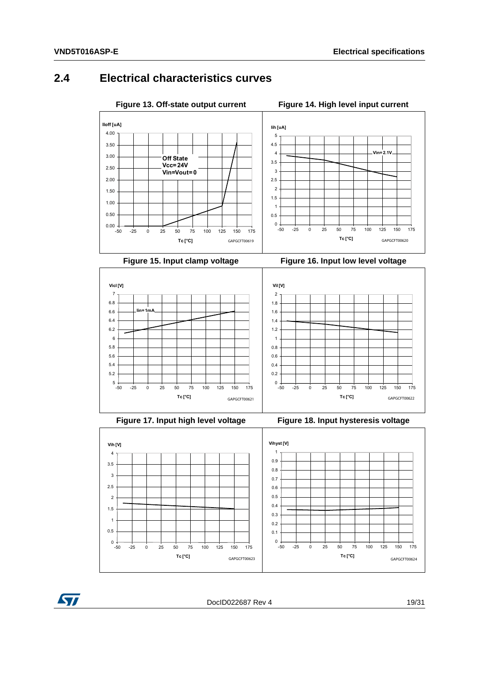#### <span id="page-18-0"></span>**2.4 Electrical characteristics curves**

<span id="page-18-2"></span><span id="page-18-1"></span>

<span id="page-18-4"></span>

<span id="page-18-3"></span>

<span id="page-18-6"></span>

<span id="page-18-5"></span>



DocID022687 Rev 4 19/[31](#page-30-0)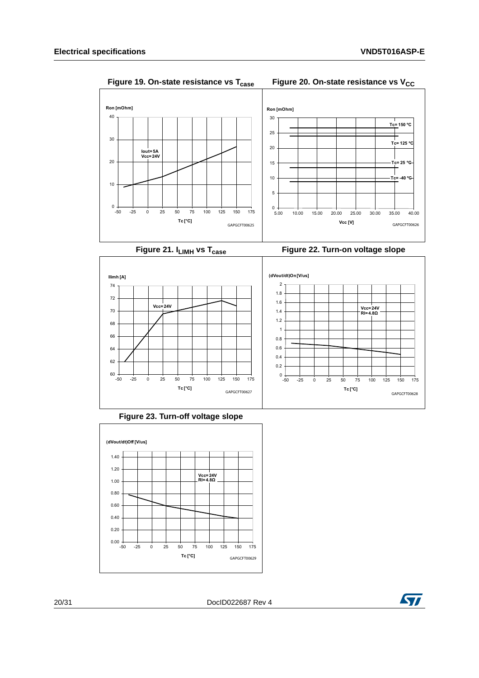<span id="page-19-1"></span><span id="page-19-0"></span>



<span id="page-19-3"></span>

<span id="page-19-2"></span>



<span id="page-19-4"></span>

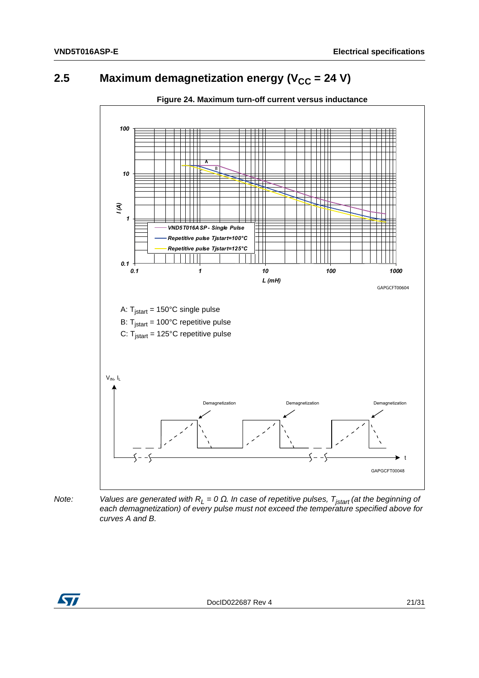# <span id="page-20-0"></span>**2.5** Maximum demagnetization energy ( $V_{CC}$  = 24 V)

<span id="page-20-1"></span>

*Note:* Values are generated with R<sub>L</sub> = 0 Ω. In case of repetitive pulses, T<sub>jstart</sub> (at the beginning of *each demagnetization) of every pulse must not exceed the temperature specified above for curves A and B.*

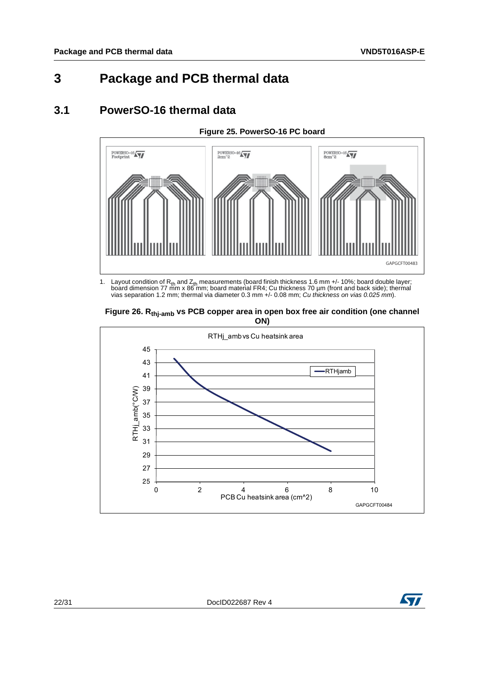# <span id="page-21-0"></span>**3 Package and PCB thermal data**

#### <span id="page-21-1"></span>**3.1 PowerSO-16 thermal data**

<span id="page-21-2"></span>

1. Layout condition of R<sub>th</sub> and Z<sub>th</sub> measurements (board finish thickness 1.6 mm +/- 10%; board double layer;<br>board dimension 77 mm x 86 mm; board material FR4; Cu thickness 70 µm (front and back side); thermal vias separation 1.2 mm; thermal via diameter 0.3 mm +/- 0.08 mm; *Cu thickness on vias 0.025 mm*).

<span id="page-21-3"></span>



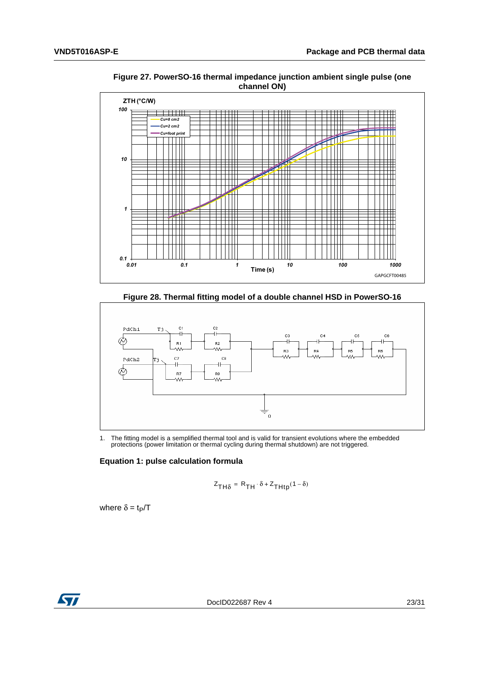

<span id="page-22-0"></span>**Figure 27. PowerSO-16 thermal impedance junction ambient single pulse (one channel ON)** 

**Figure 28. Thermal fitting model of a double channel HSD in PowerSO-16**

<span id="page-22-1"></span>

1. The fitting model is a semplified thermal tool and is valid for transient evolutions where the embedded protections (power limitation or thermal cycling during thermal shutdown) are not triggered.

#### **Equation 1: pulse calculation formula**

$$
Z_{TH\delta} = R_{TH} \cdot \delta + Z_{THtp}(1 - \delta)
$$

where  $\delta = t_P/T$ 

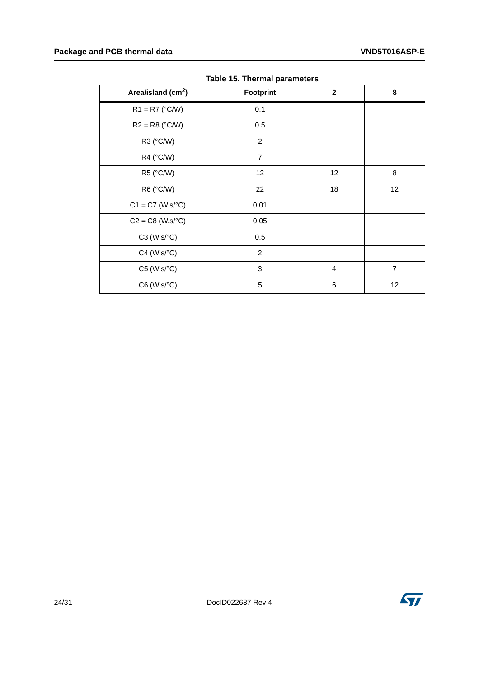<span id="page-23-0"></span>

| Area/island (cm <sup>2</sup> ) | . <b>.</b><br>Footprint | $\mathbf{2}$   | 8              |
|--------------------------------|-------------------------|----------------|----------------|
| $R1 = R7$ (°C/W)               | 0.1                     |                |                |
| $R2 = R8$ (°C/W)               | 0.5                     |                |                |
| R3 (°C/W)                      | $\overline{2}$          |                |                |
| R4 (°C/W)                      | $\overline{7}$          |                |                |
| R5 (°C/W)                      | 12                      | 12             | 8              |
| R6 (°C/W)                      | 22                      | 18             | 12             |
| $C1 = C7$ (W.s/°C)             | 0.01                    |                |                |
| $C2 = C8$ (W.s/ $^{\circ}C$ )  | 0.05                    |                |                |
| $C3$ (W.s/ $°C$ )              | 0.5                     |                |                |
| $C4$ (W.s/ $°C$ )              | $\overline{2}$          |                |                |
| $C5$ (W.s/ $°C$ )              | 3                       | $\overline{4}$ | $\overline{7}$ |
| $C6$ (W.s/ $°C$ )              | 5                       | 6              | 12             |

**Table 15. Thermal parameters**

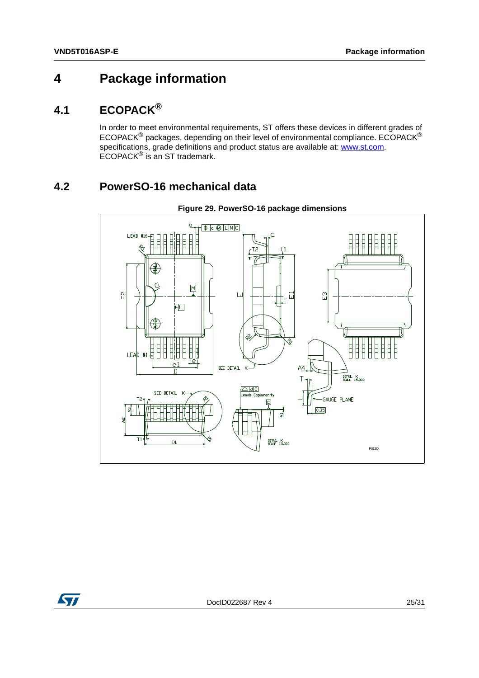# <span id="page-24-0"></span>**4 Package information**

### <span id="page-24-1"></span>**4.1 ECOPACK®**

In order to meet environmental requirements, ST offers these devices in different grades of ECOPACK<sup>®</sup> packages, depending on their level of environmental compliance. ECOPACK<sup>®</sup> specifications, grade definitions and product status are available at: **www.st.com**. ECOPACK® is an ST trademark.

## <span id="page-24-2"></span>**4.2 PowerSO-16 mechanical data**

<span id="page-24-3"></span>

**Figure 29. PowerSO-16 package dimensions**

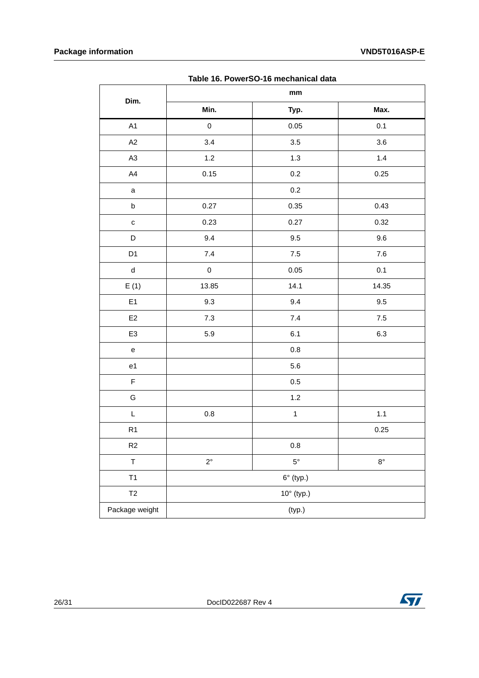<span id="page-25-0"></span>

| rable To. I Owerdo-To Illechanical data |                               |                     |             |
|-----------------------------------------|-------------------------------|---------------------|-------------|
| Dim.                                    | $\mathop{\text{mm}}\nolimits$ |                     |             |
|                                         | Min.                          | Typ.                | Max.        |
| A1                                      | $\mathsf{O}\xspace$           | 0.05                | 0.1         |
| A2                                      | 3.4                           | $3.5\,$             | $3.6\,$     |
| A3                                      | 1.2                           | 1.3                 | $1.4$       |
| A4                                      | 0.15                          | $0.2\,$             | 0.25        |
| $\mathsf a$                             |                               | $0.2\,$             |             |
| $\sf b$                                 | 0.27                          | 0.35                | 0.43        |
| $\mathbf c$                             | 0.23                          | 0.27                | 0.32        |
| $\mathsf D$                             | 9.4                           | $9.5\,$             | 9.6         |
| D <sub>1</sub>                          | $7.4$                         | $7.5\,$             | $7.6\,$     |
| ${\sf d}$                               | $\mathsf 0$                   | 0.05                | 0.1         |
| E(1)                                    | 13.85                         | 14.1                | 14.35       |
| E1                                      | 9.3                           | 9.4                 | $9.5\,$     |
| $E2$                                    | $7.3$                         | 7.4                 | $7.5\,$     |
| E <sub>3</sub>                          | 5.9                           | 6.1                 | 6.3         |
| $\mathsf{e}% _{t}\left( t\right)$       |                               | $0.8\,$             |             |
| e <sub>1</sub>                          |                               | $5.6\,$             |             |
| $\mathsf F$                             |                               | 0.5                 |             |
| G                                       |                               | 1.2                 |             |
| L                                       | $0.8\,$                       | $\mathbf{1}$        | $1.1$       |
| R1                                      |                               |                     | 0.25        |
| R2                                      |                               | $0.8\,$             |             |
| $\top$                                  | $2^{\circ}$                   | $5^{\circ}$         | $8^{\circ}$ |
| T1                                      |                               | $6^\circ$ (typ.)    |             |
| T2                                      |                               | $10^{\circ}$ (typ.) |             |
| Package weight                          |                               | (typ.)              |             |

**Table 16. PowerSO-16 mechanical data**

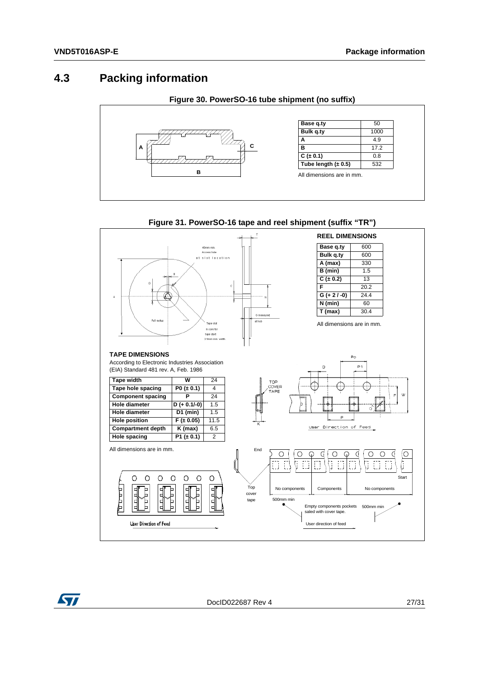#### <span id="page-26-0"></span>**4.3 Packing information**

<span id="page-26-1"></span>

<span id="page-26-2"></span>

#### **Figure 31. PowerSO-16 tape and reel shipment (suffix "TR")**

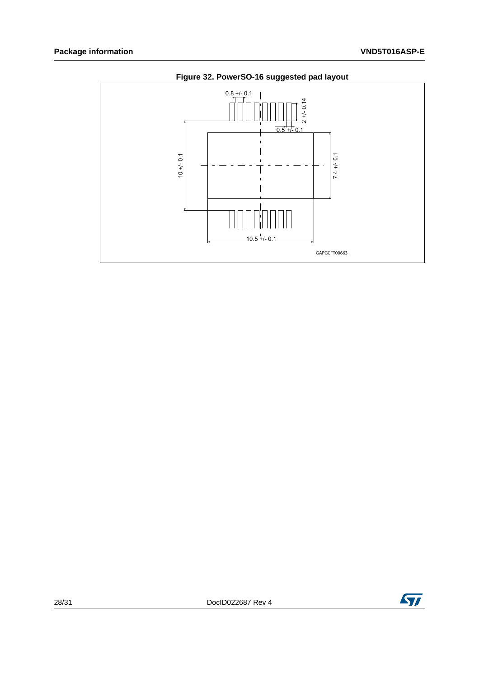<span id="page-27-0"></span>

#### **Figure 32. PowerSO-16 suggested pad layout**

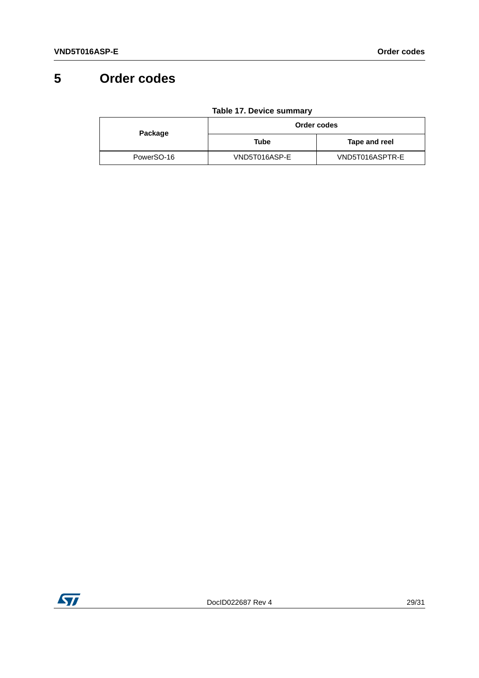# <span id="page-28-0"></span>**5 Order codes**

<span id="page-28-1"></span>

|            | Order codes   |                 |  |
|------------|---------------|-----------------|--|
| Package    | Tube          | Tape and reel   |  |
| PowerSO-16 | VND5T016ASP-E | VND5T016ASPTR-E |  |

**Table 17. Device summary**

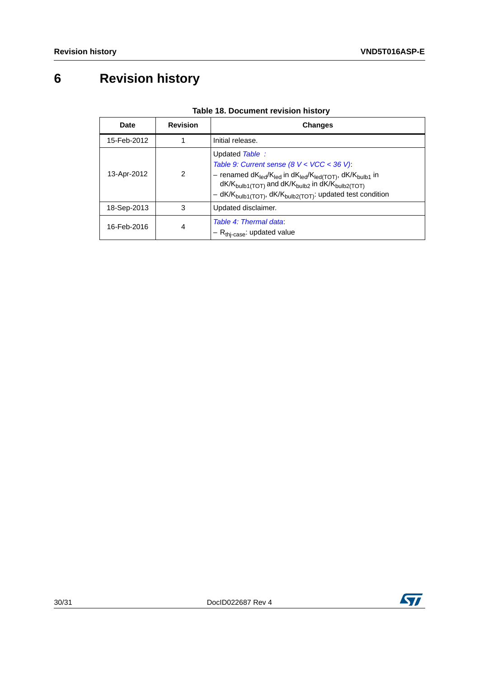# <span id="page-29-0"></span>**6 Revision history**

<span id="page-29-1"></span>

| <b>Date</b> | <b>Revision</b> | <b>Changes</b>                                                                                                                                                                                                                                                                                                                                                      |
|-------------|-----------------|---------------------------------------------------------------------------------------------------------------------------------------------------------------------------------------------------------------------------------------------------------------------------------------------------------------------------------------------------------------------|
| 15-Feb-2012 |                 | Initial release.                                                                                                                                                                                                                                                                                                                                                    |
| 13-Apr-2012 | 2               | Updated Table:<br>Table 9: Current sense $(8 V < VCC < 36 V)$ .<br>- renamed dK <sub>led</sub> /K <sub>led</sub> in dK <sub>led</sub> /K <sub>led(TOT)</sub> , dK/K <sub>bulb1</sub> in<br>$dK/K_{\text{bulb1(TOT)}}$ and $dK/K_{\text{bulb2}}$ in $dK/K_{\text{bulb2(TOT)}}$<br>- dK/K <sub>bulb1</sub> (TOT), dK/K <sub>bulb2</sub> (TOT): updated test condition |
| 18-Sep-2013 | 3               | Updated disclaimer.                                                                                                                                                                                                                                                                                                                                                 |
| 16-Feb-2016 | 4               | Table 4: Thermal data:<br>$-R_{thi-case}$ : updated value                                                                                                                                                                                                                                                                                                           |

#### **Table 18. Document revision history**